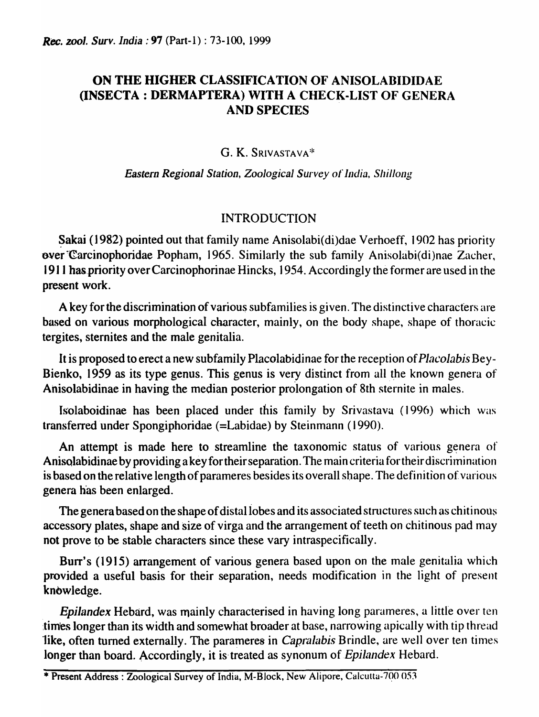## ON THE HIGHER CLASSIFICATION OF ANISOLABIDIDAE (INSECTA: DERMAPTERA) WITH A CHECK·LIST OF GENERA AND SPECIES

### G. K. SRIVASTAVA\*

### **Eastern Regional Station, Zoological Survey of India, Shillong**

## INTRODUCTION

**Sakai (1982) pointed out that family name Anisolabi( di)dae Verhoeff, 1902 has priority** 6Ver Carcinophoridae Popham, 1965. Similarly the sub family Anisolabi(di)nae Zacher, 1911 baspriority overCarcinophorinae Hincks, 1954. Accordingly the former are used in the present work.

A key for the discrimination of various subfamilies is given. The distinctive characters are based on various morphological character, mainly, on the body shape, shape of thoracic tergites, sternites and the male genitalia.

It is proposed to erect a new subfamily Placolabidinae for the reception of *Placolabis* Bey-Bienko, 1959 as its type genus. This genus is very distinct from all the known genera of Anisolabidinae in having the median posterior prolongation of 8th sternite in males.

Isolaboidinae has been placed under this family by Srivastava (1996) which was transferred under Spongiphoridae (=Labidae) by Steinmann (1990).

An attempt is made here to streamline the taxonomic status of various genera of Anisolabidinae by providing a key for their separation. The main criteria for their discrimination is based on the relative length of parameres besides its overall shape. The definition of various genera has been enlarged.

The genera based on the shape of distal lobes and its associated structures such as chitinous accessory plates, shape and size of virga and the arrangement of teeth on chitinous pad may not prove to be stable characters since these vary intraspecifically.

Burr's (1915) arrangement of various genera based upon on the male genitalia which provided a useful basis for their separation, needs modification in the light of present knowledge.

*Epilandex* Hebard, was mainly characterised in having long parameres, a little over ten times longer than its width and somewhat broader at base, narrowing apically with tip thread like, often turned externally. The parameres in *Capralabis* Brindle, are well over ten times longer than board. Accordingly, it is treated as synonum of *Epilandex* Hebard.

<sup>\*</sup> Present Address: Zoological Survey of India. M-Block, New Alipore. Calculta-7QO 051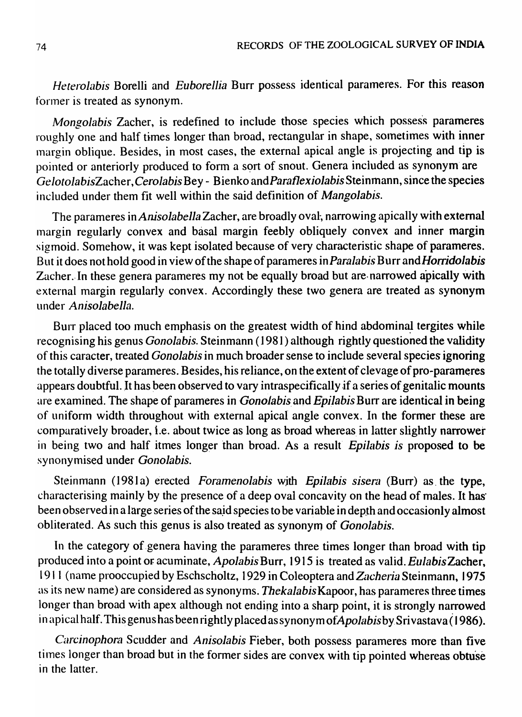*Heterolabis* Borelli and *Euborellia* Burr possess identical parameres. For this reason former is treated as synonym.

*Mongolabis Zacher, is redefined to include those species which possess parameres* roughly one and half times longer than broad, rectangular in shape, sometimes with inner margin oblique. Besides, in most cases, the external apical angle is projecting and tip is pointed or anteriorly produced to form a sort of snout. Genera included as synonym are GelotolabisZacher, *Cerolabis* Bey - Bienko *andParaflexiolabis* Steinmann, since the species included under them fit well within the said definition of *Mangolabis.* 

The parameres in *A nisola bella* Zacher, are broadly oval, narrowing apically with external margin regularly convex and basal margin feebly obliquely convex and inner margin sigmoid. Somehow, it was kept isolated because of very characteristic shape of parameres. But it does not hold good in view of the shape of parameres in *Paralabis* Burr and *Horridolabis* Zacher. In these genera parameres my not be equally broad but are narrowed apically with external margin regularly convex. Accordingly these two genera are treated as synonym under *Anisolabella.* 

Burr placed too much emphasis on the greatest width of hind abdominal tergites while recognising his genus *Gonolabis.* Steinmann (1981) although rightly questioned the validity of this caracter, treated *Gonolabis* in much broader sense to include several species ignoring the totally diverse parameres. Besides, his reliance, on the extent of clevage of pro-parameres appears doubtful. It has been observed to vary intraspecifically if a series of genitalic mounts are examined. The shape of parameres in *Gonolabis.* and *Epilabis* Burr are identical in being of uniform width throughout with external apical angle convex. In the former these are comparatively broader, i.e. about twice as long as broad whereas in latter slightly narrower in being two and half itmes longer than broad. As a result *Epilabis is* proposed to be synonymised under *Gonolabis.* 

Steinmann (1981a) erected *Foramenolabis* with *Epilabis sisera* (Burr) as the type, characterising mainly by the presence of a deep oval concavity on the head of males. It has' been observed in a large series of the said species to be variable in depth and occasionly almost obliterated. As such this genus is also treated as synonym of *Gonolabis.* 

In the category of genera having the parameres three times longer than broad with tip produced into a point ot: acuminate, *Apolabis* Burr, 1915 is treated as valid. *EulabisZacher,*  1911 (name prooccupied by Eschscholtz, 1929 in Coleoptera and Zacheria Steinmann, 1975 as its new name) are considered as synonyms. *ThekalabisKapoor,* has parameres three times longer than broad with apex although not ending into a sharp point, it is strongly narrowed in apical half. This genus has been rightly placed as synonym of Apolabisby Srivastava (1986).

*Carcinophora* Scudder and *Anisolabis* Fieber, both possess parameres more than five times longer than broad but in the former sides are convex with tip pointed whereas obtuse in the latter.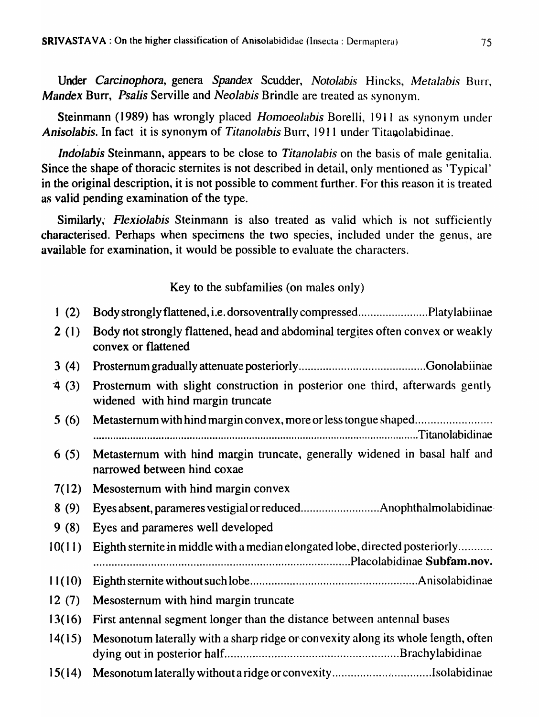Under *Carcinophora,* genera *Spandex* Scudder, *Notolabis* Hincks, *Metnlabis* Burr, *Mandex Burr, Psalis Serville and <i>Neolabis Brindle are treated as synonym.* 

**Steinmann (1989) has wrongly placed** *Homoeolabis* **Borelli, 1911 as synonym under** *Anisolabis.* In fact it is synonym of *Titanolabis* Burr, 191 1 under Titagolabidinae.

*Indolabis* Steinmann, appears to be close to *Titanolabis* on the basis of male genitalia. Since the shape of thoracic sternites is not described in detail, only mentioned as 'Typical' in the original description, it is not possible to comment further. For this reason it is treated as valid pending examination of the type.

Similarly; *Flexiolabis* Steinmann is also treated as valid which is not sufficiently characterised. Perhaps when specimens the two species, included under the genus, are available for examination, it would be possible to evaluate the characters.

Key to the subfamilies (on males only)

|--|--|--|

- 2 (1) Body not strongly flattened, head and abdominal tergites often convex or weakly convex or flattened
- 3 (4) Prostemum gradually attenuate posteriorly .......................................... Gonolabiinae
- '4 (3) Prosternum with slight construction in posterior one third, afterwards gent!) widened with hind margin truncate
- 5 (6) Metasternum with hind margin convex, more or less tongue shaped........................ ............................................................................................... ........ .... ...... .. Titanolabidinae
- 6 (5) Metasternum with hind margin truncate, generally widened in basal half and narrowed between hind coxae
- 7( 12) Mesosternum with hind margin convex
- 8 (9) Eyes absent, parameres vestigial or reduced .......................... Anophthalmolabidinae·
- 9 (8) Eyes and parameres well developed
- 10(11) Eighth sternite in middle with a median elongated lobe, directed posteriorly.......... .... ....... .... ...... ..... ........ ...... ....... ..................................... . Placolabidinae Subfam.nov.
- I I (10) Eighth stemite without such lobe ....................................................... Anisolabidinae
- 12 (7) Mesosternum with hind margin truncate
- 13( 16) First antennal segment longer than the distance between antennal bases
- 14( 15) Mesonotum laterally with a sharp ridge or convexity along its whole length, often dying out in posterior half ........................................................ Br~chylabidinae
- 15(14) Mesonotum laterally without a ridge or convexity ...................................Isolabidinae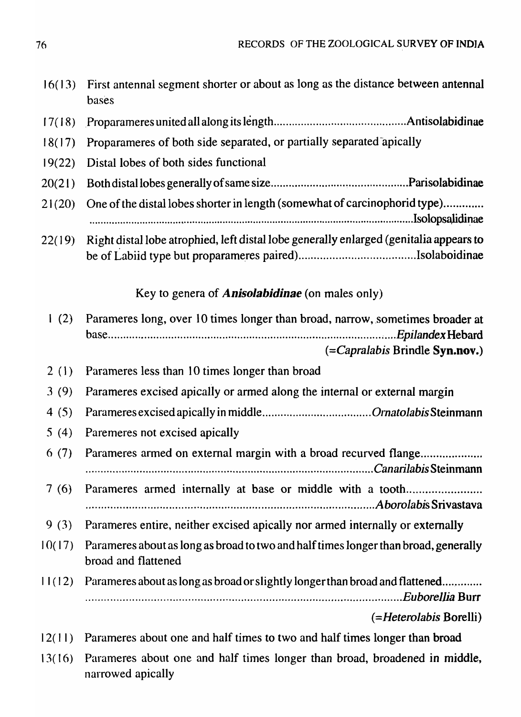- 16(13) First antennal segment shorter or about as long as the distance between antennal bases
- I 7 ( J ,8) ,Proparameres united all along its length ............................................ Antisolabidinae
- I 8( 17) Proparameres of both side separated, or partially separated apically
- 19(22) Distal lobes of both sides functional
- 20(21 ) Both distal lobes generally of same size ........................ u .................... Parisolabidinae
- 21(20) One of the distal lobes shorter in length (somewhat of carcinophorid type)............. ................................. , ................................................................................... Isolops~dit:1ae
- 22(19) Right distal lobe atrophied, left distal lobe generally enlarged (genitalia appears to be of Labiid type but proparame,res paired) u ................................... .Is01aboidinae

### Key to genera of *Anisolabidinae* (on males only)

| Parameres long, over 10 times longer than broad, narrow, sometimes broader at                              | 1(2)    |
|------------------------------------------------------------------------------------------------------------|---------|
| (=Capralabis Brindle Syn.nov.)                                                                             |         |
| Parameres less than 10 times longer than broad                                                             | 2(1)    |
| Parameres excised apically or armed along the internal or external margin                                  | 3(9)    |
|                                                                                                            | 4 $(5)$ |
| Paremeres not excised apically                                                                             | 5(4)    |
|                                                                                                            | 6(7)    |
| Parameres armed internally at base or middle with a tooth                                                  | 7(6)    |
| Parameres entire, neither excised apically nor armed internally or externally                              | 9(3)    |
| Parameres about as long as broad to two and half times longer than broad, generally<br>broad and flattened | 10(17)  |
| 11(12) Parameres about as long as broad or slightly longer than broad and flattened                        |         |
| (=Heterolabis Borelli)                                                                                     |         |
| 12(11) Parameres about one and half times to two and half times longer than broad                          |         |

1 3( 16) Parameres about one and half times longer than broad, broadened in middle, narrowed apically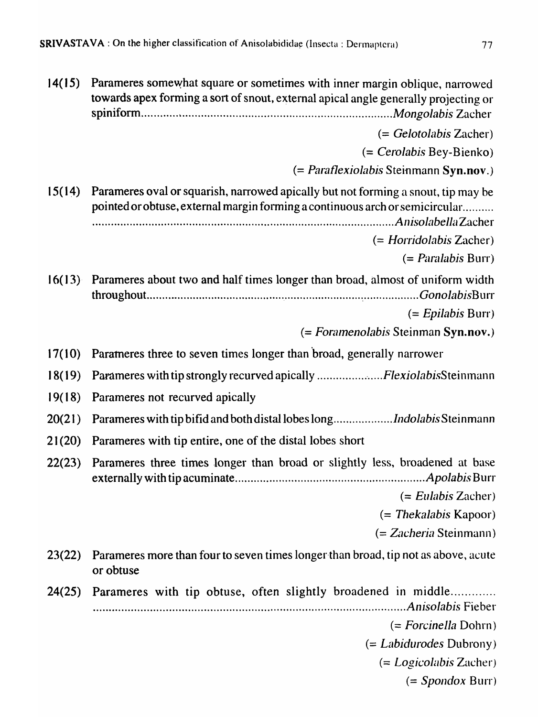| 14(15) | Parameres somewhat square or sometimes with inner margin oblique, narrowed<br>towards apex forming a sort of snout, external apical angle generally projecting or |
|--------|-------------------------------------------------------------------------------------------------------------------------------------------------------------------|
|        | $(= Gelotolabis$ Zacher)                                                                                                                                          |
|        | $( = C$ erolabis Bey-Bienko)                                                                                                                                      |
|        | (= Paraflexiolabis Steinmann Syn.nov.)                                                                                                                            |
| 15(14) | Parameres oval or squarish, narrowed apically but not forming a snout, tip may be<br>pointed or obtuse, external margin forming a continuous arch or semicircular |
|        | (= Horridolabis Zacher)                                                                                                                                           |
|        | $(= Paralabis Burr)$                                                                                                                                              |
| 16(13) | Parameres about two and half times longer than broad, almost of uniform width                                                                                     |
|        | $(= Epilabis Burr)$                                                                                                                                               |
|        | (= Foramenolabis Steinman Syn.nov.)                                                                                                                               |
| 17(10) | Parameres three to seven times longer than broad, generally narrower                                                                                              |
| 18(19) | Parameres with tip strongly recurved apically FlexiolabisSteinmann                                                                                                |
| 19(18) | Parameres not recurved apically                                                                                                                                   |
| 20(21) |                                                                                                                                                                   |
| 21(20) | Parameres with tip entire, one of the distal lobes short                                                                                                          |
| 22(23) | Parameres three times longer than broad or slightly less, broadened at base<br><i>Apolabis</i> Burr                                                               |
|        | $(= Eulabis Zacher)$                                                                                                                                              |
|        | $(= The kala b is Kapoor)$                                                                                                                                        |
|        | $(= Zacheria Steinmann)$                                                                                                                                          |
| 23(22) | Parameres more than four to seven times longer than broad, tip not as above, acute<br>or obtuse                                                                   |
| 24(25) | Parameres with tip obtuse, often slightly broadened in middle                                                                                                     |
|        |                                                                                                                                                                   |
|        | $(= Forcinella$ Dohrn)                                                                                                                                            |
|        | $(= Labidurodes Dubrony)$                                                                                                                                         |
|        | $(=Logicolabis$ Zacher)                                                                                                                                           |
|        | (= <i>Spondox</i> Burr)                                                                                                                                           |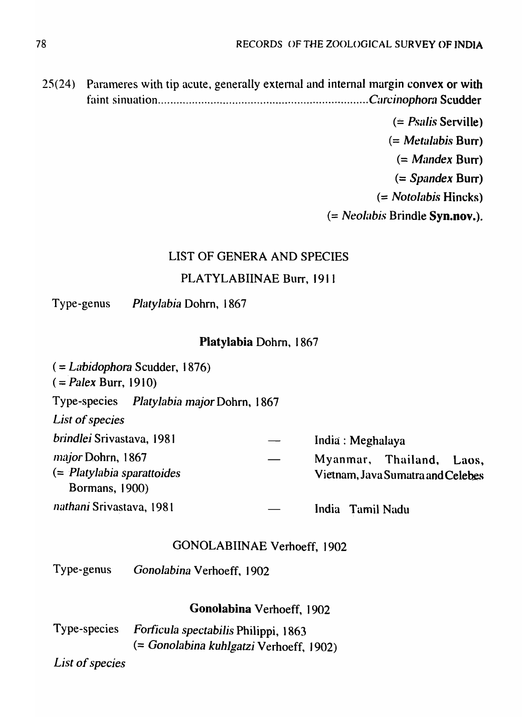25(24) Parameres with tip acute, generally external and internal margin convex or with 

> $(= Psalis$  Serville)  $(= Metalabis Burr)$  $(= M$ andex Burr)  $( = Spandes$  Burr)  $(= Notolabis Hincks)$  $(= Neolabis Brindle Syn.nov.).$

### LIST OF GENERA AND SPECIES

### PLATYLABIINAE Burr, 1911

Type-genus Platylabia Dohrn, 1867

### Platylabia Dohrn, 1867

 $($  = Labidophora Scudder, 1876)  $(=$  Palex Burr, 1910) Type-species Platylabia major Dohrn, 1867 List of species brindlei Srivastava, 1981 India: Meghalaya major Dohrn, 1867 Myanmar, Thailand, Laos.  $($  = Platylabia sparattoides Vietnam, Java Sumatra and Celebes Bormans, 1900) nathani Srivastava, 1981 India Tamil Nadu

## GONOLABIINAE Verhoeff, 1902

Type-genus Gonolabina Verhoeff, 1902

### **Gonolabina Verhoeff, 1902**

Forficula spectabilis Philippi, 1863 Type-species (= Gonolabina kuhlgatzi Verhoeff, 1902)

List of species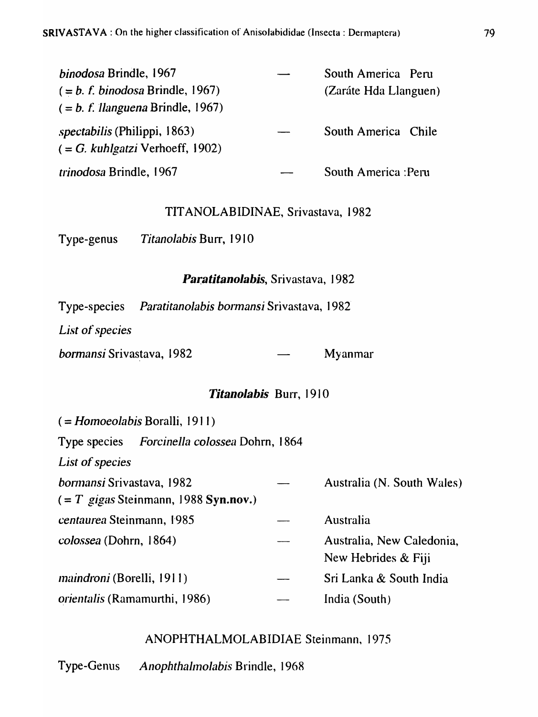| <i>binodosa Brindle, 1967</i>                                               | South America Peru    |
|-----------------------------------------------------------------------------|-----------------------|
| $(= b. f. binodosa Brindle, 1967)$                                          | (Zaráte Hda Llanguen) |
| $(= b. f.$ <i>Ilanguena</i> Brindle, 1967)                                  |                       |
| <i>spectabilis</i> (Philippi, 1863)<br>$( = G. \ kuhlgatzi$ Verhoeff, 1902) | South America Chile   |
| <i>trinodosa Brindle, 1967</i>                                              | South America: Peru   |

#### TIT ANOLABIDINAE, Srivastava, 1982

Type-genus *Titanolabis* Burr, 1910

### *Paratitanolabis,* Srivastava, 1982

| Type-species | Paratitanolabis bormansi Srivastava, 1982 |  |
|--------------|-------------------------------------------|--|
|--------------|-------------------------------------------|--|

*List* of *species* 

*bormansi* Srivastava, 1982 Myanmar

### **Titanolabis Burr, 1910**

| $( = Homoeolabis Boralli, 1911)$                                     |                                                  |
|----------------------------------------------------------------------|--------------------------------------------------|
| Type species Forcinella colossea Dohrn, 1864                         |                                                  |
| List of species                                                      |                                                  |
| bormansi Srivastava, 1982<br>$($ = T gigas Steinmann, 1988 Syn.nov.) | Australia (N. South Wales)                       |
| <i>centaurea</i> Steinmann, 1985                                     | Australia                                        |
| colossea (Dohrn, 1864)                                               | Australia, New Caledonia,<br>New Hebrides & Fiji |
| <i>maindroni</i> (Borelli, 1911)                                     | Sri Lanka & South India                          |
| <i>orientalis</i> (Ramamurthi, 1986)                                 | India (South)                                    |

### ANOPHTHALMOLABIDIAE Steinmann, 1975

Type-Genus *AnophthalInoJabis* Brindle, 1968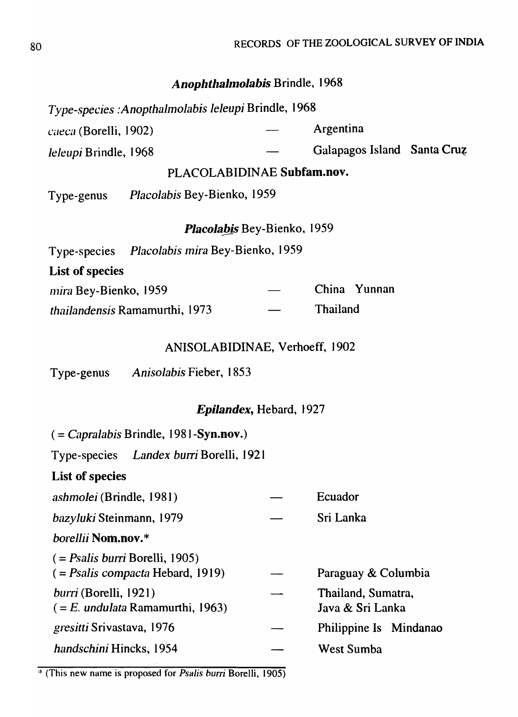# 80 RECORDS OF THE ZOOLOGICAL SURVEY OF INDIA

## Anophthalmolabis Brindle, 1968

| Type-species : Anopthalmolabis leleupi Brindle, 1968 |                                         |  |           |              |                             |
|------------------------------------------------------|-----------------------------------------|--|-----------|--------------|-----------------------------|
| caeca (Borelli, 1902)                                |                                         |  | Argentina |              |                             |
| <i>leleupi</i> Brindle, 1968                         |                                         |  |           |              | Galapagos Island Santa Cruz |
| PLACOLABIDINAE Subfam.nov.                           |                                         |  |           |              |                             |
| Type-genus                                           | Placolabis Bey-Bienko, 1959             |  |           |              |                             |
| <i>Placolabis Bey-Bienko, 1959</i>                   |                                         |  |           |              |                             |
| Type-species                                         | <i>Placolabis mira Bey-Bienko, 1959</i> |  |           |              |                             |
| <b>List of species</b>                               |                                         |  |           |              |                             |
| <i>mira</i> Bey-Bienko, 1959                         |                                         |  |           | China Yunnan |                             |
|                                                      | <i>thailandensis</i> Ramamurthi, 1973   |  | Thailand  |              |                             |
|                                                      |                                         |  |           |              |                             |

# ANISOLABIDINAE, Verhoeff, 1902

Type-genus *Anisolabis* Fieber, 1853

## *Epilandex, Hebard, 1927*

(= *Capralabis* Brindle, 1981-Syn.nov.)

Type-species *Landex burri* Borelli, 1921

## List of species

| ashmolei (Brindle, 1981)                                                 | Ecuador                                |
|--------------------------------------------------------------------------|----------------------------------------|
| <i>bazyluki</i> Steinmann, 1979                                          | Sri Lanka                              |
| borellii Nom.nov.*                                                       |                                        |
| $( = Psalis burri Borelli, 1905)$<br>$( = Psalis compacta Hebard, 1919)$ | Paraguay & Columbia                    |
| <i>burri</i> (Borelli, 1921)<br>$(= E.$ undulata Ramamurthi, 1963)       | Thailand, Sumatra,<br>Java & Sri Lanka |
| gresitti Srivastava, 1976                                                | Philippine Is Mindanao                 |
| handschini Hincks, 1954                                                  | West Sumba                             |
|                                                                          |                                        |

\* (This new name is proposed for *PsaJis burri* Borelli, 1905)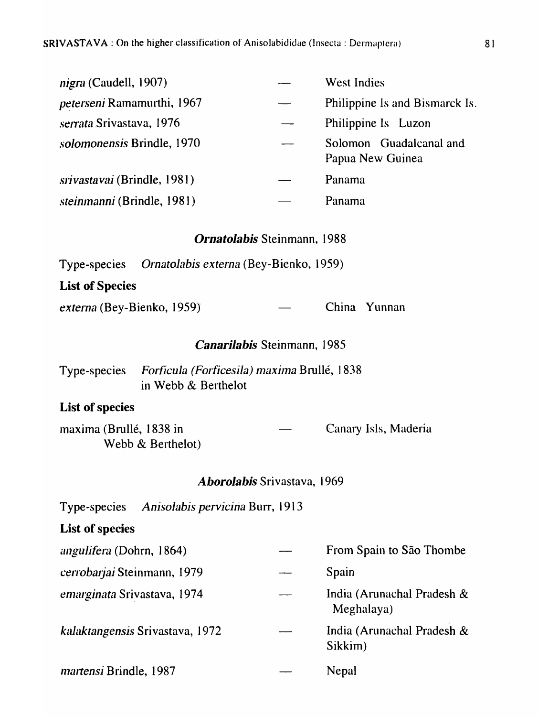| nigra (Caudell, 1907)               |                                                                           |  | <b>West Indies</b>                          |  |  |
|-------------------------------------|---------------------------------------------------------------------------|--|---------------------------------------------|--|--|
| peterseni Ramamurthi, 1967          |                                                                           |  | Philippine Is and Bismarck Is.              |  |  |
| serrata Srivastava, 1976            |                                                                           |  | Philippine Is Luzon                         |  |  |
| solomonensis Brindle, 1970          |                                                                           |  | Solomon Guadalcanal and<br>Papua New Guinea |  |  |
| srivastavai (Brindle, 1981)         |                                                                           |  | Panama                                      |  |  |
| steinmanni (Brindle, 1981)          |                                                                           |  | Panama                                      |  |  |
|                                     | <b>Ornatolabis Steinmann</b> , 1988                                       |  |                                             |  |  |
|                                     | Type-species Ornatolabis externa (Bey-Bienko, 1959)                       |  |                                             |  |  |
| <b>List of Species</b>              |                                                                           |  |                                             |  |  |
| externa (Bey-Bienko, 1959)          |                                                                           |  | China Yunnan                                |  |  |
| <b>Canarilabis Steinmann</b> , 1985 |                                                                           |  |                                             |  |  |
| Type-species                        | <i>Forficula (Forficesila) maxima</i> Brullé, 1838<br>in Webb & Berthelot |  |                                             |  |  |
| <b>List of species</b>              |                                                                           |  |                                             |  |  |
| maxima (Brullé, 1838 in             | Webb & Berthelot)                                                         |  | Canary Isls, Maderia                        |  |  |
| <b>Aborolabis Srivastava, 1969</b>  |                                                                           |  |                                             |  |  |
|                                     | Type-species Anisolabis pervicina Burr, 1913                              |  |                                             |  |  |
| <b>List of species</b>              |                                                                           |  |                                             |  |  |
| angulifera (Dohrn, 1864)            |                                                                           |  | From Spain to São Thombe                    |  |  |
| cerrobarjai Steinmann, 1979         |                                                                           |  | Spain                                       |  |  |
| emarginata Srivastava, 1974         |                                                                           |  | India (Arunachal Pradesh &<br>Meghalaya)    |  |  |
|                                     | kalaktangensis Srivastava, 1972                                           |  | India (Arunachal Pradesh &<br>Sikkim)       |  |  |
| <i>martensi</i> Brindle, 1987       |                                                                           |  | Nepal                                       |  |  |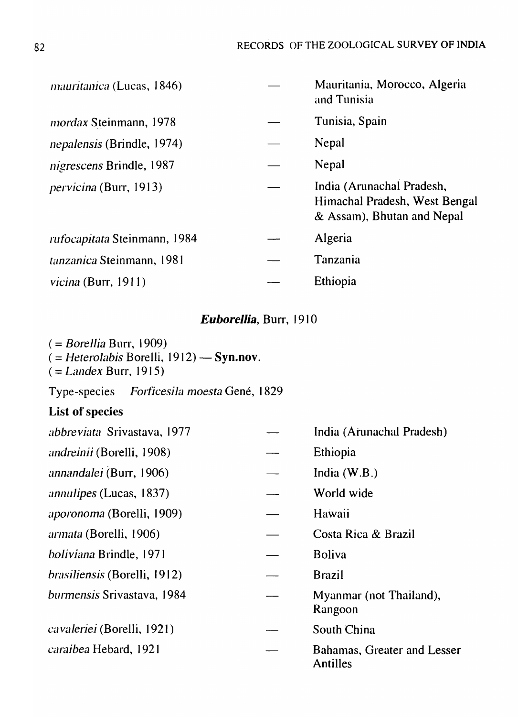| <i>mauritanica</i> (Lucas, 1846)  | Mauritania, Morocco, Algeria<br>and Tunisia                                              |
|-----------------------------------|------------------------------------------------------------------------------------------|
| <i>mordax</i> Steinmann, 1978     | Tunisia, Spain                                                                           |
| <i>nepalensis</i> (Brindle, 1974) | Nepal                                                                                    |
| <i>nigrescens</i> Brindle, 1987   | Nepal                                                                                    |
| <i>pervicina</i> (Burr, 1913)     | India (Arunachal Pradesh,<br>Himachal Pradesh, West Bengal<br>& Assam), Bhutan and Nepal |
| rufocapitata Steinmann, 1984      | Algeria                                                                                  |
| tanzanica Steinmann, 1981         | Tanzania                                                                                 |
| <i>vicina</i> (Burr, $1911$ )     | Ethiopia                                                                                 |

## Euborellia, Burr, 1910

( = *Borellia* Burr, 1909) ( = *Heterolabis* Borelli, 1912) - Syn.nov. ( = *LilI1dex* Burr, 1915)

Type-species *Forficesila moesta* Gené, 1829

# List of species

| <i>abbreviata Srivastava, 1977</i>  | India (Arunachal Pradesh)                      |
|-------------------------------------|------------------------------------------------|
| <i>andreinii</i> (Borelli, 1908)    | Ethiopia                                       |
| annandalei (Burr, 1906)             | India $(W.B.)$                                 |
| <i>annulipes</i> (Lucas, 1837)      | World wide                                     |
| <i>aporonoma</i> (Borelli, 1909)    | Hawaii                                         |
| <i>armata</i> (Borelli, 1906)       | Costa Rica & Brazil                            |
| <i>boliviana Brindle, 1971</i>      | <b>Boliva</b>                                  |
| <i>brasiliensis</i> (Borelli, 1912) | <b>Brazil</b>                                  |
| <i>burmensis</i> Srivastava, 1984   | Myanmar (not Thailand),<br>Rangoon             |
| cavaleriei (Borelli, 1921)          | South China                                    |
| caraibea Hebard, 1921               | Bahamas, Greater and Lesser<br><b>Antilles</b> |
|                                     |                                                |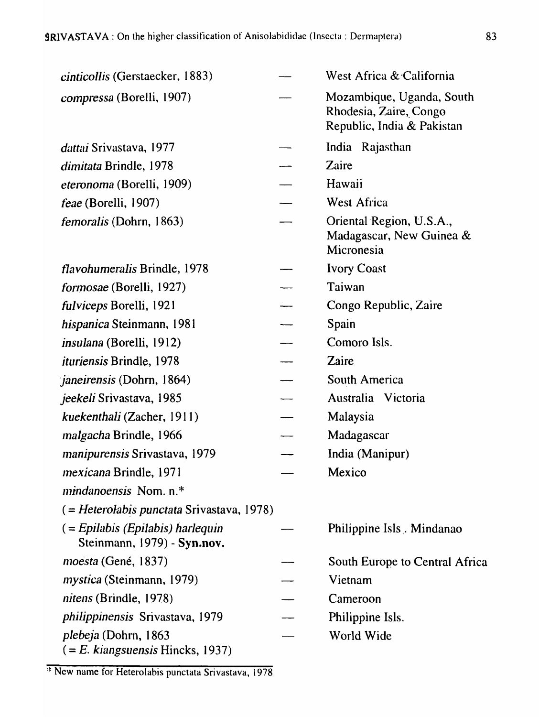| cinticollis (Gerstaecker, 1883)                                    | West Africa & California                                                          |
|--------------------------------------------------------------------|-----------------------------------------------------------------------------------|
| compressa (Borelli, 1907)                                          | Mozambique, Uganda, South<br>Rhodesia, Zaire, Congo<br>Republic, India & Pakistan |
| <i>dattai</i> Srivastava, 1977                                     | India Rajasthan                                                                   |
| dimitata Brindle, 1978                                             | Zaire                                                                             |
| eteronoma (Borelli, 1909)                                          | Hawaii                                                                            |
| <i>feae</i> (Borelli, 1907)                                        | <b>West Africa</b>                                                                |
| <i>femoralis</i> (Dohrn, 1863)                                     | Oriental Region, U.S.A.,<br>Madagascar, New Guinea &<br>Micronesia                |
| flavohumeralis Brindle, 1978                                       | <b>Ivory Coast</b>                                                                |
| <i>formosae</i> (Borelli, 1927)                                    | Taiwan                                                                            |
| fulviceps Borelli, 1921                                            | Congo Republic, Zaire                                                             |
| hispanica Steinmann, 1981                                          | Spain                                                                             |
| <i>insulana</i> (Borelli, 1912)                                    | Comoro Isls.                                                                      |
| <i>ituriensis</i> Brindle, 1978                                    | Zaire                                                                             |
| <i>janeirensis</i> (Dohrn, 1864)                                   | South America                                                                     |
| jeekeli Srivastava, 1985                                           | Australia Victoria                                                                |
| kuekenthali (Zacher, 1911)                                         | Malaysia                                                                          |
| <i>malgacha Brindle, 1966</i>                                      | Madagascar                                                                        |
| <i>manipurensis</i> Srivastava, 1979                               | India (Manipur)                                                                   |
| <i>mexicana</i> Brindle, 1971                                      | Mexico                                                                            |
| mindanoensis Nom. $n.*$                                            |                                                                                   |
| (= Heterolabis punctata Srivastava, 1978)                          |                                                                                   |
| $( = Epilabis (Epilabis) harlequin$<br>Steinmann, 1979) - Syn.nov. | Philippine Isls. Mindanao                                                         |
| <i>moesta</i> (Gené, 1837)                                         | South Europe to Central Africa                                                    |
| <i>mystica</i> (Steinmann, 1979)                                   | Vietnam                                                                           |
| nitens (Brindle, 1978)                                             | Cameroon                                                                          |
| <i>philippinensis</i> Srivastava, 1979                             | Philippine Isls.                                                                  |
| plebeja (Dohrn, 1863<br>$(= E.$ kiangsuensis Hincks, 1937)         | World Wide                                                                        |

<sup>\*</sup>New name for Heterolabis punctata Srivastava, 1978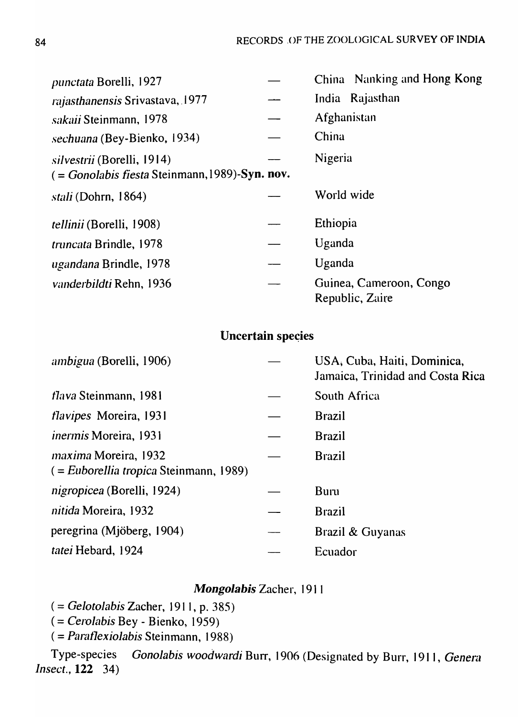| punctata Borelli, 1927                                                          | China Nanking and Hong Kong                |
|---------------------------------------------------------------------------------|--------------------------------------------|
| rajasthanensis Srivastava, 1977                                                 | India Rajasthan                            |
| sakaii Steinmann, 1978                                                          | Afghanistan                                |
| sechuana (Bey-Bienko, 1934)                                                     | China                                      |
| silvestrii (Borelli, 1914)<br>$( = Gonolabis$ fiesta Steinmann, 1989)-Syn. nov. | Nigeria                                    |
| <i>stali</i> (Dohrn, 1864)                                                      | World wide                                 |
| <i>tellinii</i> (Borelli, 1908)                                                 | Ethiopia                                   |
| <i>truncata</i> Brindle, 1978                                                   | Uganda                                     |
| ugandana Brindle, 1978                                                          | Uganda                                     |
| vanderbildti Rehn, 1936                                                         | Guinea, Cameroon, Congo<br>Republic, Zaire |

### **Uncertain species**

| ambigua (Borelli, 1906)                                                  | USA, Cuba, Haiti, Dominica,<br>Jamaica, Trinidad and Costa Rica |
|--------------------------------------------------------------------------|-----------------------------------------------------------------|
| <i>flava</i> Steinmann, 1981                                             | South Africa                                                    |
| <i>flavipes</i> Moreira, 1931                                            | <b>Brazil</b>                                                   |
| <i>inermis</i> Moreira, 1931                                             | <b>Brazil</b>                                                   |
| <i>maxima</i> Moreira, 1932<br>$($ = Euborellia tropica Steinmann, 1989) | <b>Brazil</b>                                                   |
| nigropicea (Borelli, 1924)                                               | Buru                                                            |
| nitida Moreira, 1932                                                     | <b>Brazil</b>                                                   |
| peregrina (Mjöberg, 1904)                                                | Brazil & Guyanas                                                |
| tatei Hebard, 1924                                                       | Ecuador                                                         |

## Mongolabis Zacher, 1911

 $($  = Gelotolabis Zacher, 1911, p. 385) (= Cerolabis Bey - Bienko, 1959) (= Paraflexiolabis Steinmann, 1988)

Type-species Gonolabis woodwardi Burr, 1906 (Designated by Burr, 1911, Genera Insect., 122 34)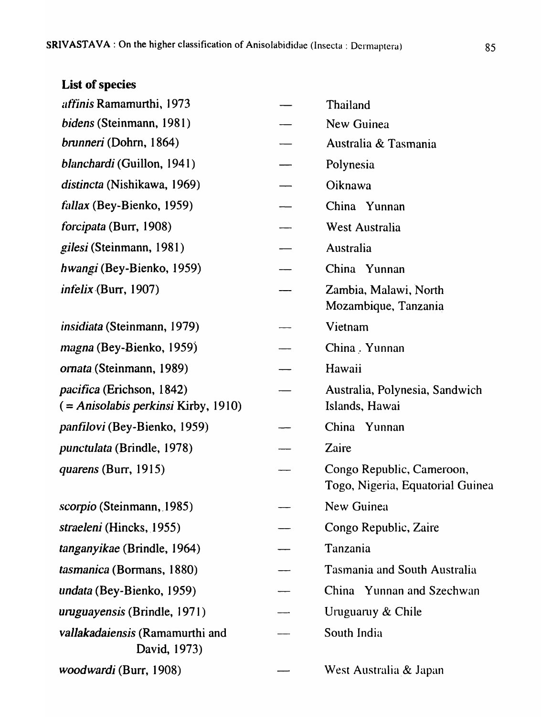# List of species

| <i>affinis</i> Ramamurthi, 1973                                            | Thailand                                                      |
|----------------------------------------------------------------------------|---------------------------------------------------------------|
| bidens (Steinmann, 1981)                                                   | New Guinea                                                    |
| <i>brunneri</i> (Dohrn, 1864)                                              | Australia & Tasmania                                          |
| <i>blanchardi</i> (Guillon, 1941)                                          | Polynesia                                                     |
| distincta (Nishikawa, 1969)                                                | Oiknawa                                                       |
| <i>fallax</i> (Bey-Bienko, 1959)                                           | China Yunnan                                                  |
| forcipata (Burr, 1908)                                                     | West Australia                                                |
| gilesi (Steinmann, 1981)                                                   | Australia                                                     |
| hwangi (Bey-Bienko, 1959)                                                  | China Yunnan                                                  |
| <i>infelix</i> (Burr, 1907)                                                | Zambia, Malawi, North<br>Mozambique, Tanzania                 |
| <i>insidiata</i> (Steinmann, 1979)                                         | Vietnam                                                       |
| <i>magna</i> (Bey-Bienko, 1959)                                            | China Yunnan                                                  |
| <i>ornata</i> (Steinmann, 1989)                                            | Hawaii                                                        |
| <i>pacifica</i> (Erichson, 1842)<br>$( = Anisolabis perkinsi$ Kirby, 1910) | Australia, Polynesia, Sandwich<br>Islands, Hawai              |
| <i>panfilovi</i> (Bey-Bienko, 1959)                                        | China Yunnan                                                  |
| <i>punctulata</i> (Brindle, 1978)                                          | Zaire                                                         |
| quarens (Burr, 1915)                                                       | Congo Republic, Cameroon,<br>Togo, Nigeria, Equatorial Guinea |
| scorpio (Steinmann, 1985)                                                  | New Guinea                                                    |
| straeleni (Hincks, 1955)                                                   | Congo Republic, Zaire                                         |
| tanganyikae (Brindle, 1964)                                                | Tanzania                                                      |
| <i>tasmanica</i> (Bormans, 1880)                                           | Tasmania and South Australia                                  |
| undata (Bey-Bienko, 1959)                                                  | China Yunnan and Szechwan                                     |
| uruguayensis (Brindle, 1971)                                               | Uruguaruy $&$ Chile                                           |
| vallakadaiensis (Ramamurthi and<br>David, 1973)                            | South India                                                   |
| <i>woodwardi</i> (Burr, 1908)                                              | West Australia & Japan                                        |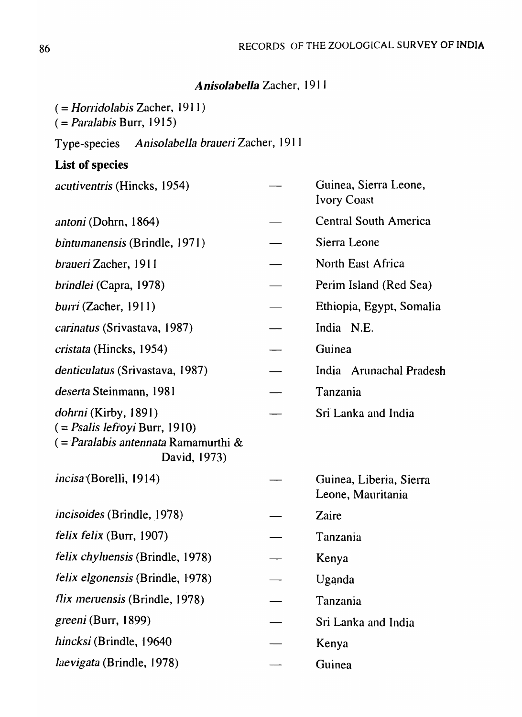# Anisolabella Zacher, 1911

| $($ = Horridolabis Zacher, 1911)<br>$( = Paralabis Burr, 1915)$                                                                  |                                              |
|----------------------------------------------------------------------------------------------------------------------------------|----------------------------------------------|
| Anisolabella braueri Zacher, 1911<br>Type-species                                                                                |                                              |
| <b>List of species</b>                                                                                                           |                                              |
| <i>acutiventris</i> (Hincks, 1954)                                                                                               | Guinea, Sierra Leone,<br><b>Ivory Coast</b>  |
| antoni (Dohrn, 1864)                                                                                                             | <b>Central South America</b>                 |
| <i>bintumanensis</i> (Brindle, 1971)                                                                                             | Sierra Leone                                 |
| <i>braueri</i> Zacher, 1911                                                                                                      | North East Africa                            |
| <i>brindlei</i> (Capra, 1978)                                                                                                    | Perim Island (Red Sea)                       |
| burri (Zacher, 1911)                                                                                                             | Ethiopia, Egypt, Somalia                     |
| <i>carinatus</i> (Srivastava, 1987)                                                                                              | India N.E.                                   |
| <i>cristata</i> (Hincks, 1954)                                                                                                   | Guinea                                       |
| <i>denticulatus</i> (Srivastava, 1987)                                                                                           | India Arunachal Pradesh                      |
| deserta Steinmann, 1981                                                                                                          | Tanzania                                     |
| <i>dohrni</i> (Kirby, 1891)<br>$($ = <i>Psalis lefroyi</i> Burr, 1910)<br>$($ = Paralabis antennata Ramamurthi &<br>David, 1973) | Sri Lanka and India                          |
| <i>incisa</i> (Borelli, 1914)                                                                                                    | Guinea, Liberia, Sierra<br>Leone, Mauritania |
| <i>incisoides</i> (Brindle, 1978)                                                                                                | Zaire                                        |
| <i>felix felix</i> (Burr, 1907)                                                                                                  | Tanzania                                     |
| <i>felix chyluensis</i> (Brindle, 1978)                                                                                          | Kenya                                        |
| <i>felix elgonensis</i> (Brindle, 1978)                                                                                          | Uganda                                       |
| flix meruensis (Brindle, 1978)                                                                                                   | Tanzania                                     |
| <i>greeni</i> (Burr, 1899)                                                                                                       | Sri Lanka and India                          |
| <i>hincksi</i> (Brindle, 19640)                                                                                                  | Kenya                                        |
| <i>laevigata</i> (Brindle, 1978)                                                                                                 | Guinea                                       |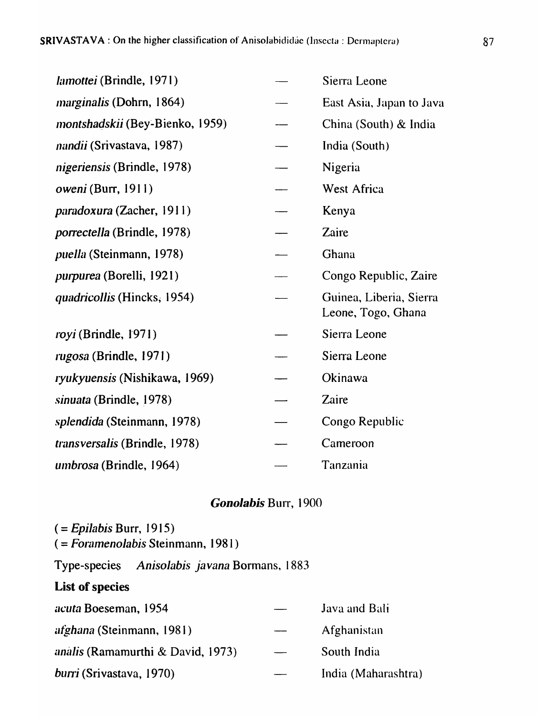| lamottei (Brindle, 1971)           | Sierra Leone                                  |
|------------------------------------|-----------------------------------------------|
| marginalis (Dohrn, 1864)           | East Asia, Japan to Java                      |
| montshadskii (Bey-Bienko, 1959)    | China (South) & India                         |
| nandii (Srivastava, 1987)          | India (South)                                 |
| nigeriensis (Brindle, 1978)        | Nigeria                                       |
| <i>oweni</i> (Burr, 1911)          | <b>West Africa</b>                            |
| paradoxura (Zacher, 1911)          | Kenya                                         |
| <i>porrectella</i> (Brindle, 1978) | Zaire                                         |
| puella (Steinmann, 1978)           | Ghana                                         |
| <i>purpurea</i> (Borelli, 1921)    | Congo Republic, Zaire                         |
| quadricollis (Hincks, 1954)        | Guinea, Liberia, Sierra<br>Leone, Togo, Ghana |
| royi (Brindle, 1971)               | Sierra Leone                                  |
| rugosa (Brindle, 1971)             | Sierra Leone                                  |
| ryukyuensis (Nishikawa, 1969)      | Okinawa                                       |
| sinuata (Brindle, 1978)            | Zaire                                         |
| splendida (Steinmann, 1978)        | Congo Republic                                |
| transversalis (Brindle, 1978)      | Cameroon                                      |
| umbrosa (Brindle, 1964)            | Tanzania                                      |

### Gonolabis Burr, 1900

( = *Epilabis* Burr, 1915) ( = *Foramenolabis* Steinmann, 1981) Type-species *Anisolabis javana* Bormans, 1883 List of species *llclIta* Boeseman, 1954 Java and Bali Afghanistan *"(gh"na* (Steinmann, 1981)  $\frac{1}{2}$ 

|                                          |                          | - -- - - - - - - - - - - - - - - |
|------------------------------------------|--------------------------|----------------------------------|
| <i>analis</i> (Ramamurthi & David, 1973) | $\overline{\phantom{a}}$ | South India                      |
| <i>burri</i> (Srivastava, 1970)          |                          | India (Maharashtra)              |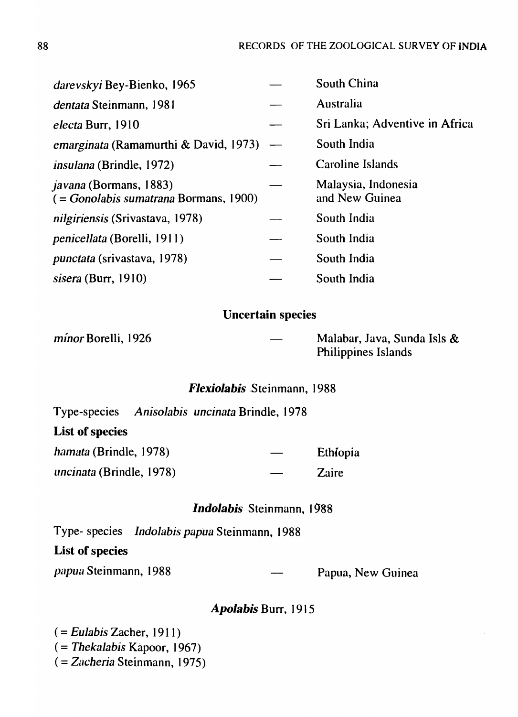#### 88 RECORDS OF THE ZOOLOGICAL SURVEY OF INDIA

| darevskyi Bey-Bienko, 1965                                         | South China                           |
|--------------------------------------------------------------------|---------------------------------------|
| dentata Steinmann, 1981                                            | Australia                             |
| electa Burr, 1910                                                  | Sri Lanka; Adventive in Africa        |
| emarginata (Ramamurthi & David, 1973)                              | South India                           |
| <i>insulana</i> (Brindle, 1972)                                    | Caroline Islands                      |
| javana (Bormans, 1883)<br>$( = Gonolabis sumatrana Bormans, 1900)$ | Malaysia, Indonesia<br>and New Guinea |
| <i>nilgiriensis</i> (Srivastava, 1978)                             | South India                           |
| <i>penicellata</i> (Borelli, 1911)                                 | South India                           |
| punctata (srivastava, 1978)                                        | South India                           |
| sisera (Burr, 1910)                                                | South India                           |

#### Uncertain species

*minor* Borelli, 1926

Malabar, Java, Sunda IsIs & Philippines Islands

*Flexiolabis* .Steinmann, 1988

|                                 | Type-species Anisolabis uncinata Brindle, 1978 |          |
|---------------------------------|------------------------------------------------|----------|
| <b>List of species</b>          |                                                |          |
| <i>hamata</i> (Brindle, 1978)   |                                                | Ethiopia |
| <i>uncinata</i> (Brindle, 1978) |                                                | Zaire    |

#### *lndolabis* Steinmann, 1988

Type- species *Indolabis papua* Steinmann, 1988 List of species papua Steinmann, 1988

Papua,.New Guinea

### *ApoJabis* Burr, 1915

(= *Eulabis* Zacher, 1911) (= *Thekalabis* Kapoor, 1967) (= *Z,Jcheria* Steinmann, 1975)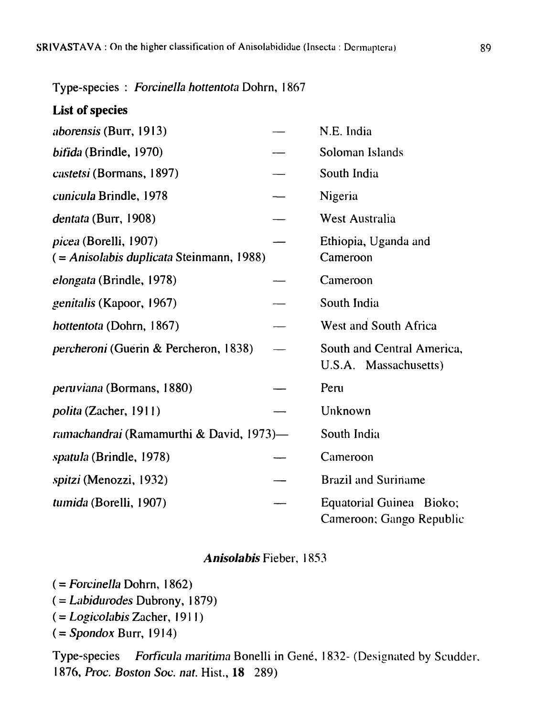Type-species: Forcinella hottentota Dohrn, 1867

| <b>List of species</b>                                               |                                                      |
|----------------------------------------------------------------------|------------------------------------------------------|
| <i>aborensis</i> (Burr, 1913)                                        | N.E. India                                           |
| <i>bifida</i> (Brindle, 1970)                                        | Soloman Islands                                      |
| castetsi (Bormans, 1897)                                             | South India                                          |
| cunicula Brindle, 1978                                               | Nigeria                                              |
| dentata (Burr, 1908)                                                 | <b>West Australia</b>                                |
| picea (Borelli, 1907)<br>$($ = Anisolabis duplicata Steinmann, 1988) | Ethiopia, Uganda and<br>Cameroon                     |
| elongata (Brindle, 1978)                                             | Cameroon                                             |
| genitalis (Kapoor, 1967)                                             | South India                                          |
| hottentota (Dohrn, 1867)                                             | <b>West and South Africa</b>                         |
| <i>percheroni</i> (Guerin & Percheron, 1838)                         | South and Central America,<br>U.S.A. Massachusetts)  |
| <i>peruviana</i> (Bormans, 1880)                                     | Peru                                                 |
| polita (Zacher, 1911)                                                | Unknown                                              |
| ramachandrai (Ramamurthi & David, 1973)—                             | South India                                          |
| spatula (Brindle, 1978)                                              | Cameroon                                             |
| spitzi (Menozzi, 1932)                                               | <b>Brazil and Suriname</b>                           |
| tumida (Borelli, 1907)                                               | Equatorial Guinea Bioko;<br>Cameroon; Gango Republic |

### **Anisolabis Fieber, 1853**

 $( = Forcinella \nDohrn, 1862)$ 

- $($  = Labidurodes Dubrony, 1879)
- $($  = Logicolabis Zacher, 1911)
- $( = Spondox$  Burr, 1914)

Forficula maritima Bonelli in Gené, 1832- (Designated by Scudder, Type-species 1876, Proc. Boston Soc. nat. Hist., 18 289)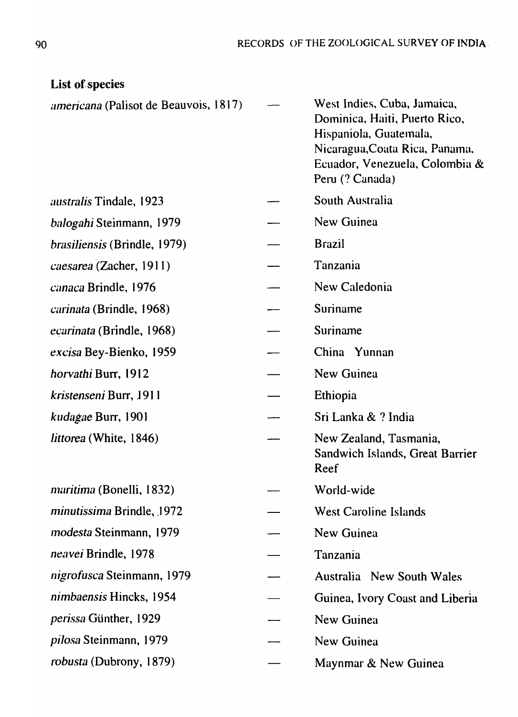# List of-species

| <i>americana</i> (Palisot de Beauvois, 1817) | West Indies, Cuba, Jamaica,<br>Dominica, Haiti, Puerto Rico,<br>Hispaniola, Guatemala,<br>Nicaragua, Coata Rica, Panama,<br>Ecuador, Venezuela, Colombia &<br>Peru (? Canada) |
|----------------------------------------------|-------------------------------------------------------------------------------------------------------------------------------------------------------------------------------|
| <i>australis</i> Tindale, 1923               | South Australia                                                                                                                                                               |
| <i>balogahi</i> Steinmann, 1979              | New Guinea                                                                                                                                                                    |
| <i>brasiliensis</i> (Brindle, 1979)          | <b>Brazil</b>                                                                                                                                                                 |
| caesarea (Zacher, 1911)                      | Tanzania                                                                                                                                                                      |
| canaca Brindle, 1976                         | New Caledonia                                                                                                                                                                 |
| <i>carinata</i> (Brindle, 1968)              | Suriname                                                                                                                                                                      |
| ecarinata (Brindle, 1968)                    | Suriname                                                                                                                                                                      |
| excisa Bey-Bienko, 1959                      | China Yunnan                                                                                                                                                                  |
| horvathi Burr, 1912                          | New Guinea                                                                                                                                                                    |
| kristenseni Burr, 1911                       | Ethiopia                                                                                                                                                                      |
| kudagae Burr, 1901                           | Sri Lanka & ? India                                                                                                                                                           |
| <i>littorea</i> (White, 1846)                | New Zealand, Tasmania,<br>Sandwich Islands, Great Barrier<br>Reef                                                                                                             |
| <i>maritima</i> (Bonelli, 1832)              | World-wide                                                                                                                                                                    |
| minutissima Brindle, 1972                    | <b>West Caroline Islands</b>                                                                                                                                                  |
| <i>modesta</i> Steinmann, 1979               | New Guinea                                                                                                                                                                    |
| <i>neavei</i> Brindle, 1978                  | Tanzania                                                                                                                                                                      |
| nigrofusca Steinmann, 1979                   | Australia New South Wales                                                                                                                                                     |
| nimbaensis Hincks, 1954                      | Guinea, Ivory Coast and Liberia                                                                                                                                               |
| <i>perissa</i> Günther, 1929                 | New Guinea                                                                                                                                                                    |
| <i>pilosa</i> Steinmann, 1979                | New Guinea                                                                                                                                                                    |
| <i>robusta</i> (Dubrony, 1879)               | Maynmar & New Guinea                                                                                                                                                          |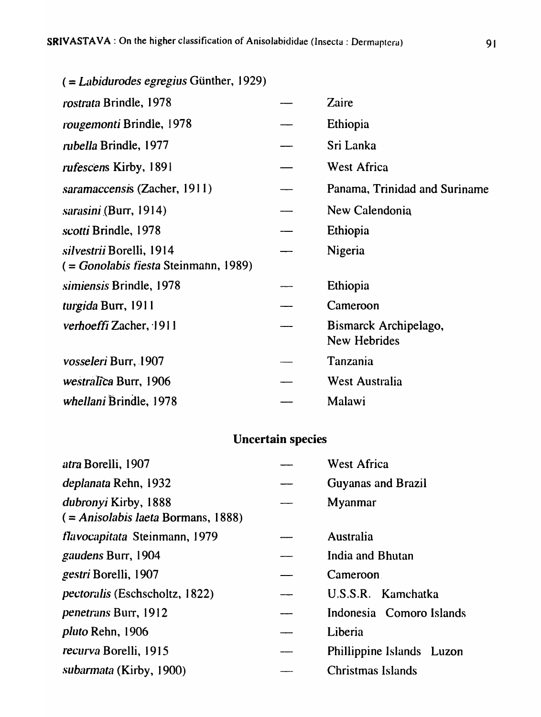| $($ = Labidurodes egregius Günther, 1929)                            |                                              |
|----------------------------------------------------------------------|----------------------------------------------|
| rostrata Brindle, 1978                                               | Zaire                                        |
| <i>rougemonti</i> Brindle, 1978                                      | Ethiopia                                     |
| rubella Brindle, 1977                                                | Sri Lanka                                    |
| rufescens Kirby, 1891                                                | <b>West Africa</b>                           |
| saramaccensis (Zacher, 1911)                                         | Panama, Trinidad and Suriname                |
| sarasini (Burr, 1914)                                                | New Calendonia                               |
| scotti Brindle, 1978                                                 | Ethiopia                                     |
| silvestrii Borelli, 1914<br>$( = G$ onolabis fiesta Steinmann, 1989) | Nigeria                                      |
| simiensis Brindle, 1978                                              | Ethiopia                                     |
| turgida Burr, 1911                                                   | Cameroon                                     |
| verhoeffi Zacher, 1911                                               | Bismarck Archipelago,<br><b>New Hebrides</b> |
| vosseleri Burr, 1907                                                 | Tanzania                                     |
| westralica Burr, 1906                                                | <b>West Australia</b>                        |
| whellani Brindle, 1978                                               | Malawi                                       |

# **Uncertain species**

| atra Borelli, 1907                                                   | <b>West Africa</b>        |  |
|----------------------------------------------------------------------|---------------------------|--|
| <i>deplanata</i> Rehn, 1932                                          | <b>Guyanas and Brazil</b> |  |
| dubronyi Kirby, 1888<br>$( = Anisolabis$ <i>laeta</i> Bormans, 1888) | <b>Myanmar</b>            |  |
| flavocapitata Steinmann, 1979                                        | Australia                 |  |
| gaudens Burr, 1904                                                   | India and Bhutan          |  |
| gestri Borelli, 1907                                                 | Cameroon                  |  |
| <i>pectoralis</i> (Eschscholtz, 1822)                                | U.S.S.R. Kamchatka        |  |
| <i>penetrans Burr</i> , 1912                                         | Indonesia Comoro Islands  |  |
| pluto Rehn, 1906                                                     | Liberia                   |  |
| <i>recurva</i> Borelli, 1915                                         | Phillippine Islands Luzon |  |
| subarmata (Kirby, 1900)                                              | Christmas Islands         |  |
|                                                                      |                           |  |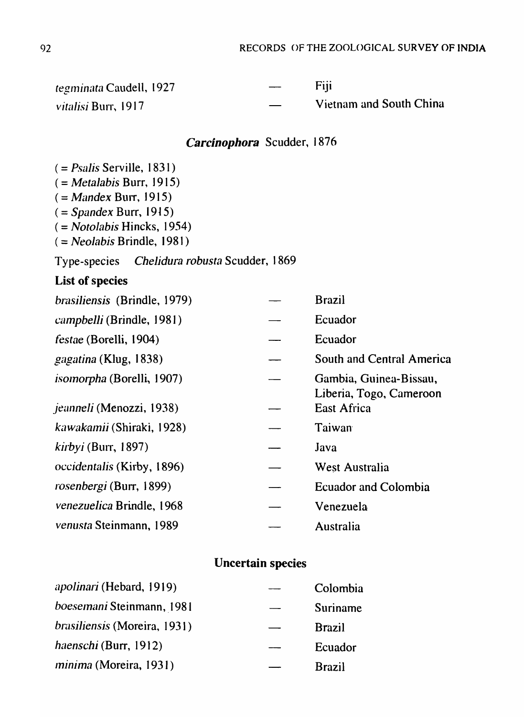#### 92 RECORDS ()F THE ZOOL()GICAL SURVEY OF INDIA

| tegminata Caudell, 1927    | $\hspace{0.05cm}$ | Fiji                    |
|----------------------------|-------------------|-------------------------|
| <i>vitalisi</i> Burr, 1917 |                   | Vietnam and South China |

# *Carcinophora* Scudder, 1876

- ( = *PS£l/is* Serville, 1831)
- ( = *Metalabis* Burr, 1915)
- (= *Mandex* BUIT, 1915)
- ( = *Spclndex* Burr, 1915)
- ( = *Noto/abis* Hincks, 1954)
- ( = *Neolabis* Brindle, 1981)
- Type-species *Chelidura robusta* Scudder, 1869

## List of species

| <b>Brazil</b>                                     |
|---------------------------------------------------|
| Ecuador                                           |
| Ecuador                                           |
| <b>South and Central America</b>                  |
| Gambia, Guinea-Bissau,<br>Liberia, Togo, Cameroon |
| <b>East Africa</b>                                |
| Taiwan                                            |
| Java                                              |
| West Australia                                    |
| <b>Ecuador and Colombia</b>                       |
| Venezuela                                         |
| Australia                                         |
|                                                   |

# Uncertain species

| <i>apolinari</i> (Hebard, 1919)  | Colombia      |
|----------------------------------|---------------|
| <i>boesemani</i> Steinmann, 1981 | Suriname      |
| brasiliensis (Moreira, 1931)     | <b>Brazil</b> |
| <i>haenschi</i> (Burr, 1912)     | Ecuador       |
| <i>minima</i> (Moreira, 1931)    | <b>Brazil</b> |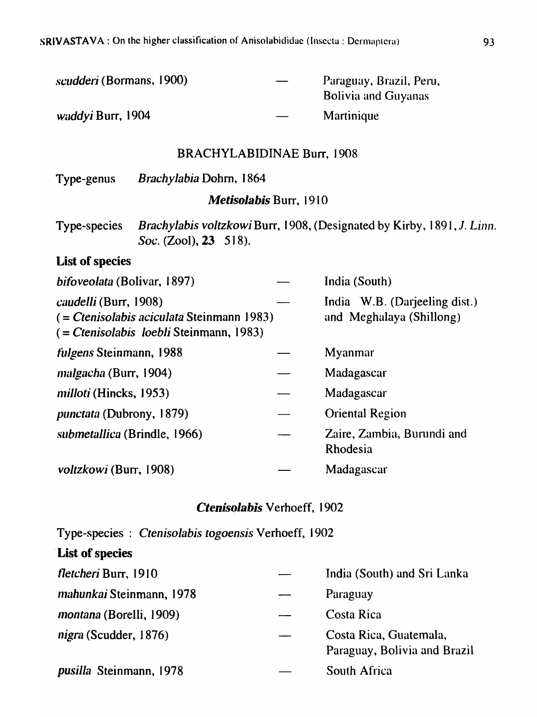| <i>scudderi</i> (Bormans, 1900) | Paraguay, Brazil, Peru,<br><b>Bolivia and Guyanas</b> |
|---------------------------------|-------------------------------------------------------|
| <i>waddyi</i> Burr, 1904        | Martinique                                            |

### BRACHYLABIDINAE Burr, 1908

Type-genus *Brachylabia* Dohm, 1864

### *Metisolabis Burr, 1910*

Type-species *Brachylabis voltzkowi* Burr, 1908, (Designated by Kirby, 1891,1. *Linn.*  Soc. (Zool), 23 518).

### List of species

| bifoveolata (Bolivar, 1897)                                                                                                | India (South)                                             |
|----------------------------------------------------------------------------------------------------------------------------|-----------------------------------------------------------|
| caudelli (Burr, 1908)<br>$($ = <i>Ctenisolabis aciculata</i> Steinmann 1983)<br>$($ = Ctenisolabis loebli Steinmann, 1983) | India W.B. (Darjeeling dist.)<br>and Meghalaya (Shillong) |
| <i>fulgens</i> Steinmann, 1988                                                                                             | <b>Myanmar</b>                                            |
| <i>malgacha</i> (Burr, 1904)                                                                                               | Madagascar                                                |
| milloti (Hincks, 1953)                                                                                                     | Madagascar                                                |
| <i>punctata</i> (Dubrony, 1879)                                                                                            | <b>Oriental Region</b>                                    |
| submetallica (Brindle, 1966)                                                                                               | Zaire, Zambia, Burundi and<br>Rhodesia                    |
| <i>voltzkowi</i> (Burr, 1908)                                                                                              | Madagascar                                                |

### *Ctenisolabis* Verhoeff, 1902·

Type-species : *Ctenisolabis togoensis* Verhoeff, 1902

## **List of species**

| fletcheri Burr, 1910           | India (South) and Sri Lanka                            |
|--------------------------------|--------------------------------------------------------|
| mahunkai Steinmann, 1978       | Paraguay                                               |
| <i>montana</i> (Borelli, 1909) | Costa Rica                                             |
| <i>nigra</i> (Scudder, 1876)   | Costa Rica, Guatemala,<br>Paraguay, Bolivia and Brazil |
| pusilla Steinmann, 1978        | South Africa                                           |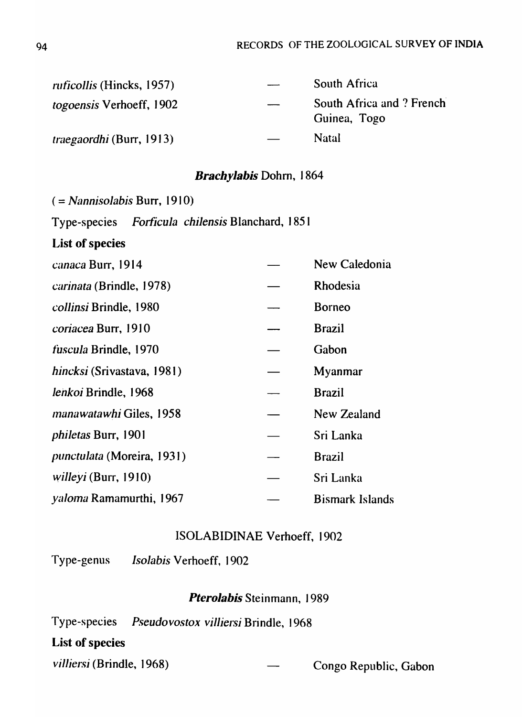### 94 RECORDS OF THE ZOOLOGICAL SURVEY OF INDIA

| <i>ruficollis</i> (Hincks, 1957) | South Africa                              |
|----------------------------------|-------------------------------------------|
| <i>togoensis</i> Verhoeff, 1902  | South Africa and ? French<br>Guinea, Togo |
| <i>traegaordhi</i> (Burr, 1913)  | <b>Natal</b>                              |

### *Brachylabis* Dohm, 1864

(= *NClnnisolabis* Burr, 1910)

Type-species *Forticula chilensis* Blanchard, 1851

| <b>List of species</b>            |                        |
|-----------------------------------|------------------------|
| canaca Burr, 1914                 | New Caledonia          |
| carinata (Brindle, 1978)          | Rhodesia               |
| collinsi Brindle, 1980            | <b>Borneo</b>          |
| <i>coriacea</i> Burr, 1910        | <b>Brazil</b>          |
| <i>fuscula</i> Brindle, 1970      | Gabon                  |
| <i>hincksi</i> (Srivastava, 1981) | Myanmar                |
| lenkoi Brindle, 1968              | <b>Brazil</b>          |
| <i>manawatawhi</i> Giles, 1958    | New Zealand            |
| <i>philetas</i> Burr, 1901        | Sri Lanka              |
| punctulata (Moreira, 1931)        | <b>Brazil</b>          |
| <i>willeyi</i> (Burr, 1910)       | Sri Lanka              |
| <i>yaloma</i> Ramamurthi, 1967    | <b>Bismark Islands</b> |

### ISOLABIDINAE Verhoeff, 1902

Type-genus *Isolabis* Verhoeff, 1902

### *Pterolabis* Steinmann, 1989

Type-species *Pseudovostox villiersi* Brindle, ) 968

### List of species

villiersi (Brindle, 1968) - Congo Republic, Gabon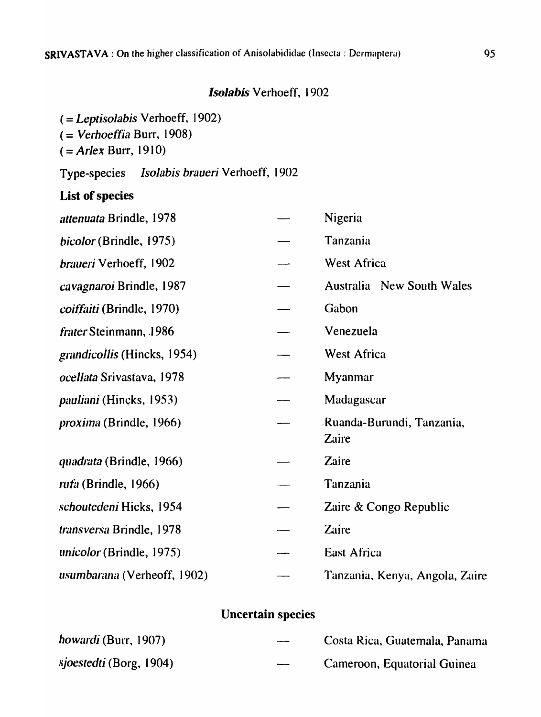## Isolabis Verhoeff, 1902

 $($  = Leptisolabis Verhoeff, 1902)  $($  = Verhoeffia Burr, 1908)

 $( = Arlex Burr, 1910)$ 

Isolabis braueri Verhoeff, 1902 Type-species

## **List of species**

| attenuata Brindle, 1978         | Nigeria                            |
|---------------------------------|------------------------------------|
| bicolor (Brindle, 1975)         | Tanzania                           |
| <i>braueri</i> Verhoeff, 1902   | <b>West Africa</b>                 |
| cavagnaroi Brindle, 1987        | Australia New South Wales          |
| coiffaiti (Brindle, 1970)       | Gabon                              |
| frater Steinmann, 1986          | Venezuela                          |
| grandicollis (Hincks, 1954)     | <b>West Africa</b>                 |
| ocellata Srivastava, 1978       | Myanmar                            |
| <i>pauliani</i> (Hincks, 1953)  | Madagascar                         |
| <i>proxima</i> (Brindle, 1966)  | Ruanda-Burundi, Tanzania,<br>Zaire |
| quadrata (Brindle, 1966)        | Zaire                              |
| <i>rufa</i> (Brindle, 1966)     | Tanzania                           |
| schoutedeni Hicks, 1954         | Zaire & Congo Republic             |
| <i>transversa</i> Brindle, 1978 | Zaire                              |
| unicolor (Brindle, 1975)        | East Africa                        |
| usumbarana (Verheoff, 1902)     | Tanzania, Kenya, Angola, Zaire     |
|                                 |                                    |

## **Uncertain species**

| <i>howardi</i> (Burr, 1907) | $-$ | Costa Rica, Guatemala, Panama |
|-----------------------------|-----|-------------------------------|
| sjoestedti (Borg, 1904)     | $-$ | Cameroon, Equatorial Guinea   |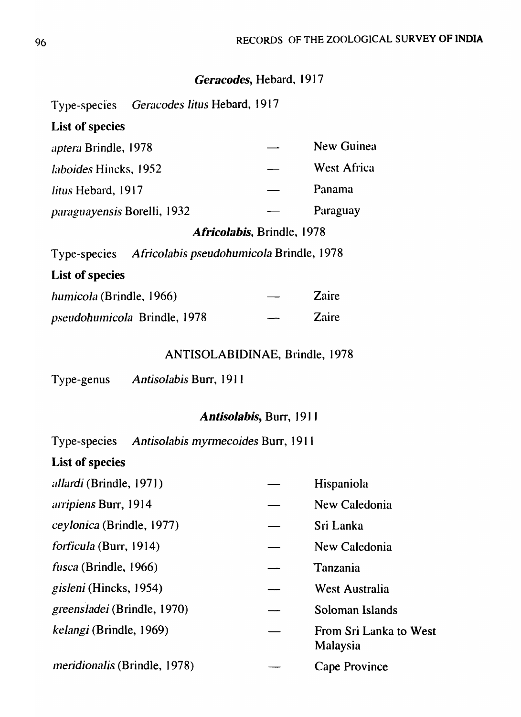#### *Geracodes,* Hebard, 1917

|                                                       | Type-species Geracodes litus Hebard, 1917 |  |                    |
|-------------------------------------------------------|-------------------------------------------|--|--------------------|
| <b>List of species</b>                                |                                           |  |                    |
| <i>aptera Brindle, 1978</i>                           |                                           |  | New Guinea         |
| <i>laboides</i> Hincks, 1952                          |                                           |  | <b>West Africa</b> |
| <i>litus</i> Hebard, 1917                             |                                           |  | Panama             |
| paraguayensis Borelli, 1932                           |                                           |  | Paraguay           |
| <b>Africolabis, Brindle, 1978</b>                     |                                           |  |                    |
| Type-species Africolabis pseudohumicola Brindle, 1978 |                                           |  |                    |
| <b>List of species</b>                                |                                           |  |                    |
| humicola (Brindle, 1966)                              |                                           |  | Zaire              |
|                                                       | <i>pseudohumicola Brindle, 1978</i>       |  | <b>Zaire</b>       |

### ANTISOLABIDINAE, Brindle, 1978

Type-genus *Antisolabis Burr*, 1911

#### *Antisolabis,* Burr, 1911

Type-species *Antisolabis myrmecoides* ButT, 1911

### List of species

| <i>allardi</i> (Brindle, 1971) |  |
|--------------------------------|--|
|                                |  |

- *urripiens Burr, 1914*
- *ceylonica* (Brindle, 1977)
- *forficula* (Burr, 1914)
- *Fusca* (Brindle, 1966)

*gisleni* (Hincks, 1954)

*greensladei* (Brindle, 1970)

*kelangi* (Brindle, 1969)

*lationalis* (Brindle, 1978)

- Tanzania
- West Australia
	- Soloman Islands

Hispaniola

Sri Lanka

New Caledonia

New Caledonia

- From Sri Lanka to West Malaysia
- Cape Province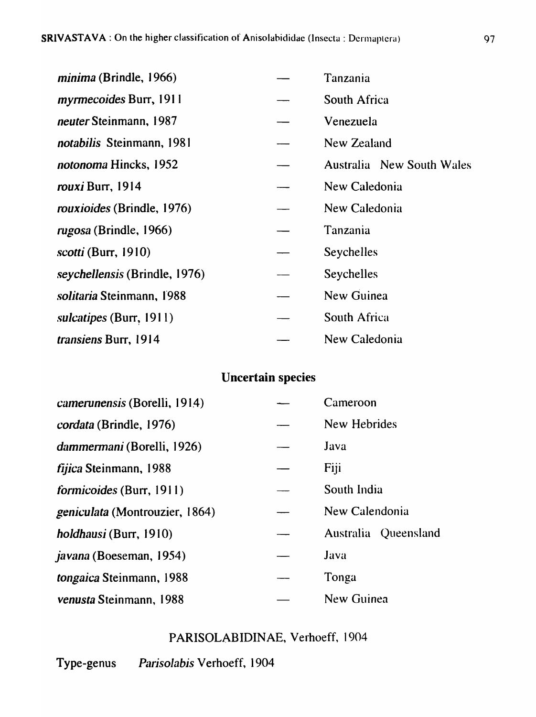| minima (Brindle, 1966)           | Tanzania                  |
|----------------------------------|---------------------------|
| <i>myrmecoides</i> Burr, 1911    | South Africa              |
| neuter Steinmann, 1987           | Venezuela                 |
| <i>notabilis</i> Steinmann, 1981 | New Zealand               |
| notonoma Hincks, 1952            | Australia New South Wales |
| rouxi Burr, 1914                 | New Caledonia             |
| rouxioides (Brindle, 1976)       | New Caledonia             |
| <i>rugosa</i> (Brindle, 1966)    | Tanzania                  |
| scotti (Burr, 1910)              | <b>Seychelles</b>         |
| seychellensis (Brindle, 1976)    | <b>Seychelles</b>         |
| solitaria Steinmann, 1988        | New Guinea                |
| sulcatipes (Burr, 1911)          | <b>South Africa</b>       |
| <i>transiens Burr</i> , 1914     | New Caledonia             |

## Uncertain species

| camerunensis (Borelli, 1914)    | Cameroon             |
|---------------------------------|----------------------|
| cordata (Brindle, 1976)         | New Hebrides         |
| dammermani (Borelli, 1926)      | Java                 |
| <i>fijica</i> Steinmann, 1988   | Fiji                 |
| <i>formicoides</i> (Burr, 1911) | South India          |
| geniculata (Montrouzier, 1864)  | New Calendonia       |
| <i>holdhausi</i> (Burr, 1910)   | Australia Queensland |
| <i>javana</i> (Boeseman, 1954)  | Java                 |
| <i>tongaica</i> Steinmann, 1988 | Tonga                |
| venusta Steinmann, 1988         | New Guinea           |

# PARISOLABIDINAE, Verhoeff, 1904

Type-genus Parisolabis Verhoeff, 1904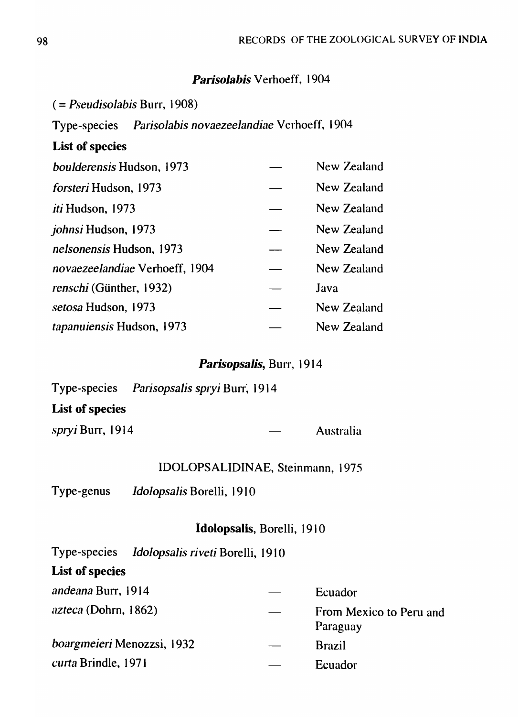### *Parisolabis* Verhoeff, 1904

( = *Pseudisolabis* Burr, 1908)

Type-species Parisolabis novaezeelandiae Verhoeff, 1904

## List of species

| <i>boulderensis</i> Hudson, 1973 | New Zealand        |
|----------------------------------|--------------------|
| forsteri Hudson, 1973            | New Zealand        |
| <i>iti</i> Hudson, 1973          | New Zealand        |
| <i>johnsi</i> Hudson, 1973       | New Zealand        |
| nelsonensis Hudson, 1973         | New Zealand        |
| novaezeelandiae Verhoeff, 1904   | New Zealand        |
| <i>renschi</i> (Günther, 1932)   | Java               |
| setosa Hudson, 1973              | <b>New Zealand</b> |
| tapanuiensis Hudson, 1973        | New Zealand        |

### Parisopsalis, Burr, 1914

|                         | Type-species Parisopsalis spryi Burr, 1914 |                          |                  |
|-------------------------|--------------------------------------------|--------------------------|------------------|
| <b>List of species</b>  |                                            |                          |                  |
| <i>spryi</i> Burr, 1914 |                                            | $\overline{\phantom{a}}$ | <b>Australia</b> |

### IDOLOPSALIDINAE, Steinmann, 1975

Type-genus *Jdolopsalis* Borelli, 1910

## Idolopsalis, Borelli, 1910

Type-species *Jdolopsalis ri veti* Borelli, 1910

## List of species

| andeana Burr, 1914                | Ecuador                             |
|-----------------------------------|-------------------------------------|
| $a$ zteca (Dohrn, 1862)           | From Mexico to Peru and<br>Paraguay |
| <i>boargmeieri</i> Menozzsi, 1932 | <b>Brazil</b>                       |
| curta Brindle, 1971               | Ecuador                             |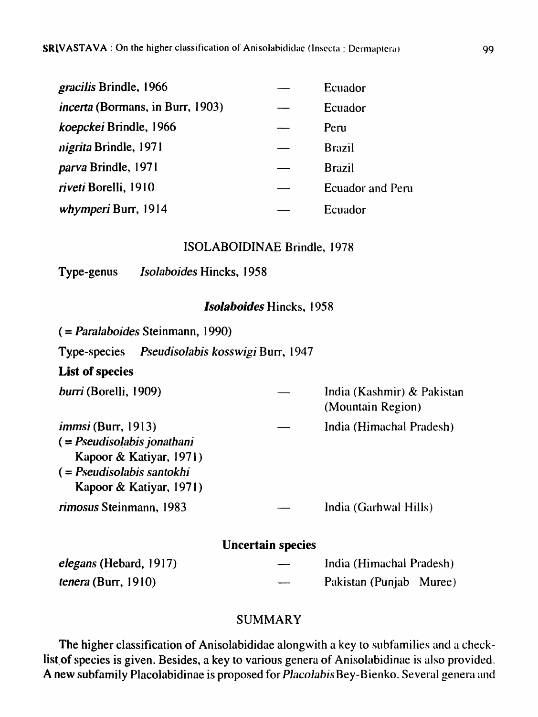| gracilis Brindle, 1966                  | Ecuador          |
|-----------------------------------------|------------------|
| <i>incerta</i> (Bormans, in Burr, 1903) | Ecuador          |
| koepckei Brindle, 1966                  | Peru             |
| nigrita Brindle, 1971                   | <b>Brazil</b>    |
| parva Brindle, 1971                     | <b>Brazil</b>    |
| riveti Borelli, 1910                    | Ecuador and Peru |
| whymperi Burr, 1914                     | Ecuador          |

#### ISOLABOIDINAE Brindle, 1978

Type-genus *Isolaboides* Hincks, 1958

#### *lsolaboides* Hincks, 1958

| (= <i>Paralaboides</i> Steinmann, 1990)                                                                                                      |                                                 |
|----------------------------------------------------------------------------------------------------------------------------------------------|-------------------------------------------------|
| Type-species Pseudisolabis kosswigi Burr, 1947                                                                                               |                                                 |
| <b>List of species</b>                                                                                                                       |                                                 |
| <i>burri</i> (Borelli, 1909)                                                                                                                 | India (Kashmir) & Pakistan<br>(Mountain Region) |
| <i>immsi</i> (Burr, 1913)<br>( = Pseudisolabis jonathani<br>Kapoor & Katiyar, 1971)<br>( = Pseudisolabis santokhi<br>Kapoor & Katiyar, 1971) | India (Himachal Pradesh)                        |
| rimosus Steinmann, 1983                                                                                                                      | India (Garhwal Hills)                           |

### **Uncertain species**

| <i>elegans</i> (Hebard, 1917) | $-$ | India (Himachal Pradesh) |  |
|-------------------------------|-----|--------------------------|--|
| <i>tenera</i> (Burr, $1910$ ) |     | Pakistan (Punjab Muree)  |  |

### SUMMARY

The higher classification of Anisolabididae alongwith a key to subfamilies and a checklist of species is given. Besides, a key to various genera of Anisolabidinae is also provided. A new subfamily Placolabidinae is proposed for *PlacolabisBey-Bienko. Several genera and*